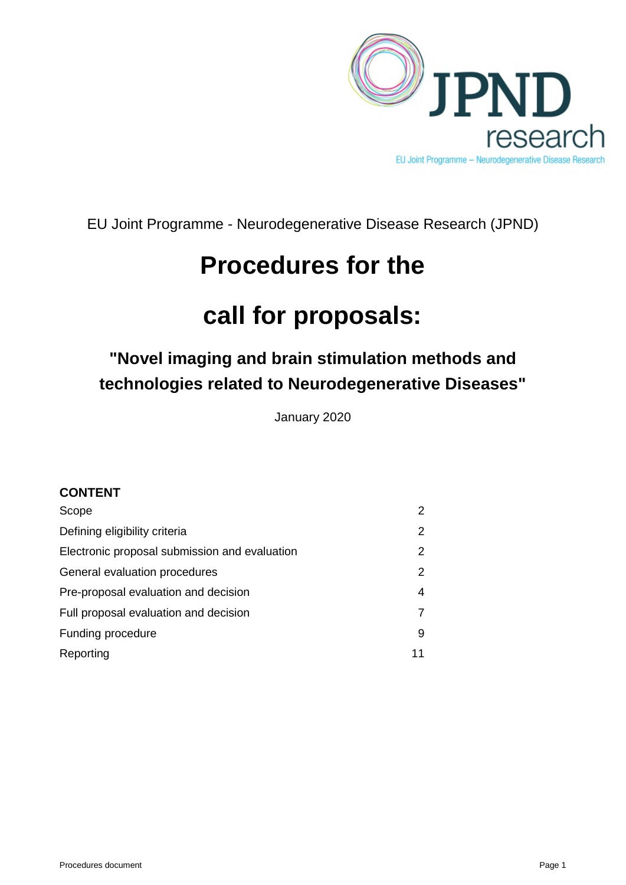

EU Joint Programme - Neurodegenerative Disease Research (JPND)

# **Procedures for the**

# **call for proposals:**

# **"Novel imaging and brain stimulation methods and technologies related to Neurodegenerative Diseases"**

January 2020

# **CONTENT**

| Scope                                         | $\mathcal{P}$ |
|-----------------------------------------------|---------------|
| Defining eligibility criteria                 | 2             |
| Electronic proposal submission and evaluation | 2             |
| General evaluation procedures                 | 2             |
| Pre-proposal evaluation and decision          | 4             |
| Full proposal evaluation and decision         |               |
| Funding procedure                             | 9             |
| Reporting                                     | 11            |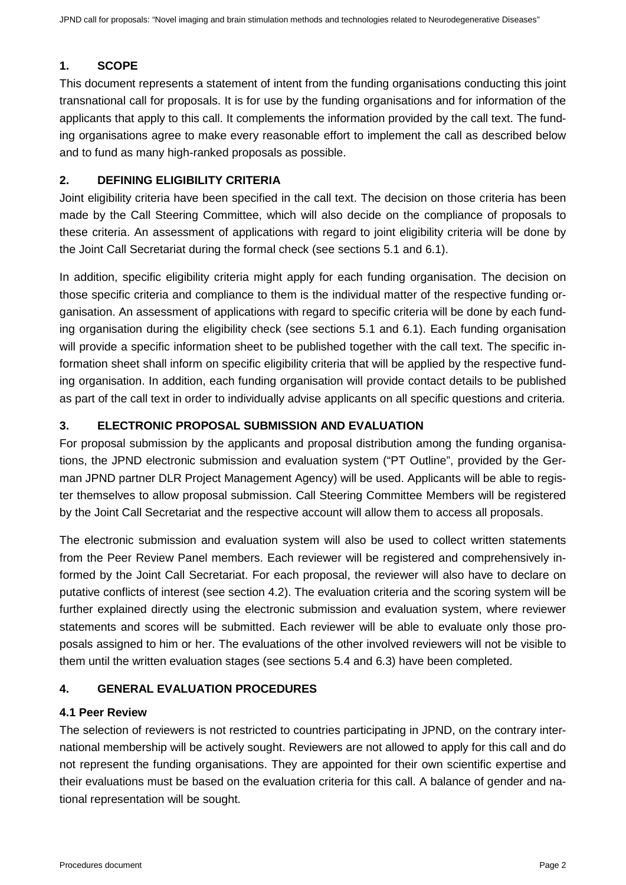# <span id="page-1-0"></span>**1. SCOPE**

This document represents a statement of intent from the funding organisations conducting this joint transnational call for proposals. It is for use by the funding organisations and for information of the applicants that apply to this call. It complements the information provided by the call text. The funding organisations agree to make every reasonable effort to implement the call as described below and to fund as many high-ranked proposals as possible.

# <span id="page-1-1"></span>**2. DEFINING ELIGIBILITY CRITERIA**

Joint eligibility criteria have been specified in the call text. The decision on those criteria has been made by the Call Steering Committee, which will also decide on the compliance of proposals to these criteria. An assessment of applications with regard to joint eligibility criteria will be done by the Joint Call Secretariat during the formal check (see sections 5.1 and 6.1).

In addition, specific eligibility criteria might apply for each funding organisation. The decision on those specific criteria and compliance to them is the individual matter of the respective funding organisation. An assessment of applications with regard to specific criteria will be done by each funding organisation during the eligibility check (see sections 5.1 and 6.1). Each funding organisation will provide a specific information sheet to be published together with the call text. The specific information sheet shall inform on specific eligibility criteria that will be applied by the respective funding organisation. In addition, each funding organisation will provide contact details to be published as part of the call text in order to individually advise applicants on all specific questions and criteria.

# <span id="page-1-2"></span>**3. ELECTRONIC PROPOSAL SUBMISSION AND EVALUATION**

For proposal submission by the applicants and proposal distribution among the funding organisations, the JPND electronic submission and evaluation system ("PT Outline", provided by the German JPND partner DLR Project Management Agency) will be used. Applicants will be able to register themselves to allow proposal submission. Call Steering Committee Members will be registered by the Joint Call Secretariat and the respective account will allow them to access all proposals.

The electronic submission and evaluation system will also be used to collect written statements from the Peer Review Panel members. Each reviewer will be registered and comprehensively informed by the Joint Call Secretariat. For each proposal, the reviewer will also have to declare on putative conflicts of interest (see section 4.2). The evaluation criteria and the scoring system will be further explained directly using the electronic submission and evaluation system, where reviewer statements and scores will be submitted. Each reviewer will be able to evaluate only those proposals assigned to him or her. The evaluations of the other involved reviewers will not be visible to them until the written evaluation stages (see sections 5.4 and 6.3) have been completed.

# <span id="page-1-3"></span>**4. GENERAL EVALUATION PROCEDURES**

# **4.1 Peer Review**

The selection of reviewers is not restricted to countries participating in JPND, on the contrary international membership will be actively sought. Reviewers are not allowed to apply for this call and do not represent the funding organisations. They are appointed for their own scientific expertise and their evaluations must be based on the evaluation criteria for this call. A balance of gender and national representation will be sought.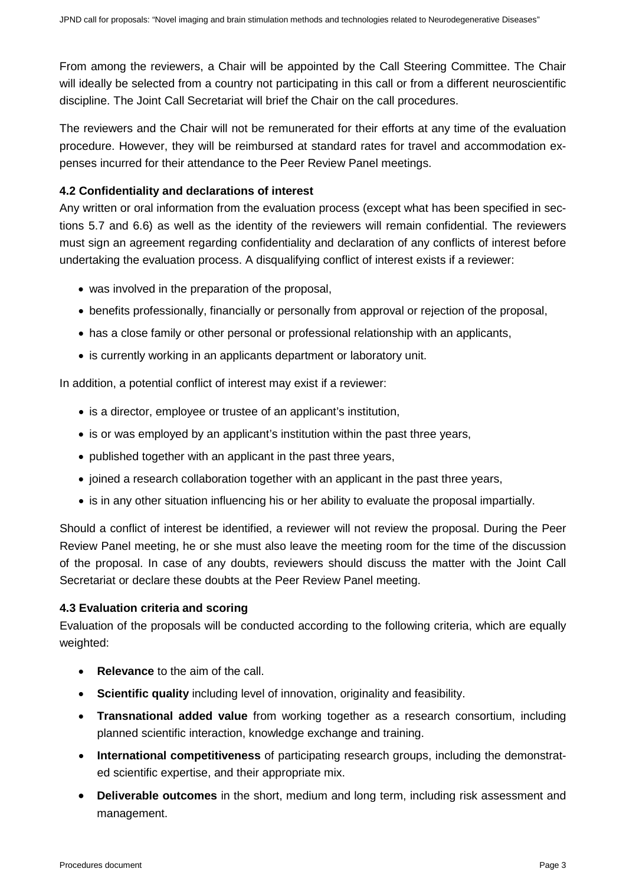From among the reviewers, a Chair will be appointed by the Call Steering Committee. The Chair will ideally be selected from a country not participating in this call or from a different neuroscientific discipline. The Joint Call Secretariat will brief the Chair on the call procedures.

The reviewers and the Chair will not be remunerated for their efforts at any time of the evaluation procedure. However, they will be reimbursed at standard rates for travel and accommodation expenses incurred for their attendance to the Peer Review Panel meetings.

### **4.2 Confidentiality and declarations of interest**

Any written or oral information from the evaluation process (except what has been specified in sections 5.7 and 6.6) as well as the identity of the reviewers will remain confidential. The reviewers must sign an agreement regarding confidentiality and declaration of any conflicts of interest before undertaking the evaluation process. A disqualifying conflict of interest exists if a reviewer:

- was involved in the preparation of the proposal,
- benefits professionally, financially or personally from approval or rejection of the proposal,
- has a close family or other personal or professional relationship with an applicants,
- is currently working in an applicants department or laboratory unit.

In addition, a potential conflict of interest may exist if a reviewer:

- is a director, employee or trustee of an applicant's institution,
- is or was employed by an applicant's institution within the past three years,
- published together with an applicant in the past three years,
- joined a research collaboration together with an applicant in the past three years,
- is in any other situation influencing his or her ability to evaluate the proposal impartially.

Should a conflict of interest be identified, a reviewer will not review the proposal. During the Peer Review Panel meeting, he or she must also leave the meeting room for the time of the discussion of the proposal. In case of any doubts, reviewers should discuss the matter with the Joint Call Secretariat or declare these doubts at the Peer Review Panel meeting.

#### **4.3 Evaluation criteria and scoring**

Evaluation of the proposals will be conducted according to the following criteria, which are equally weighted:

- **Relevance** to the aim of the call.
- **Scientific quality** including level of innovation, originality and feasibility.
- **Transnational added value** from working together as a research consortium, including planned scientific interaction, knowledge exchange and training.
- **International competitiveness** of participating research groups, including the demonstrated scientific expertise, and their appropriate mix.
- **Deliverable outcomes** in the short, medium and long term, including risk assessment and management.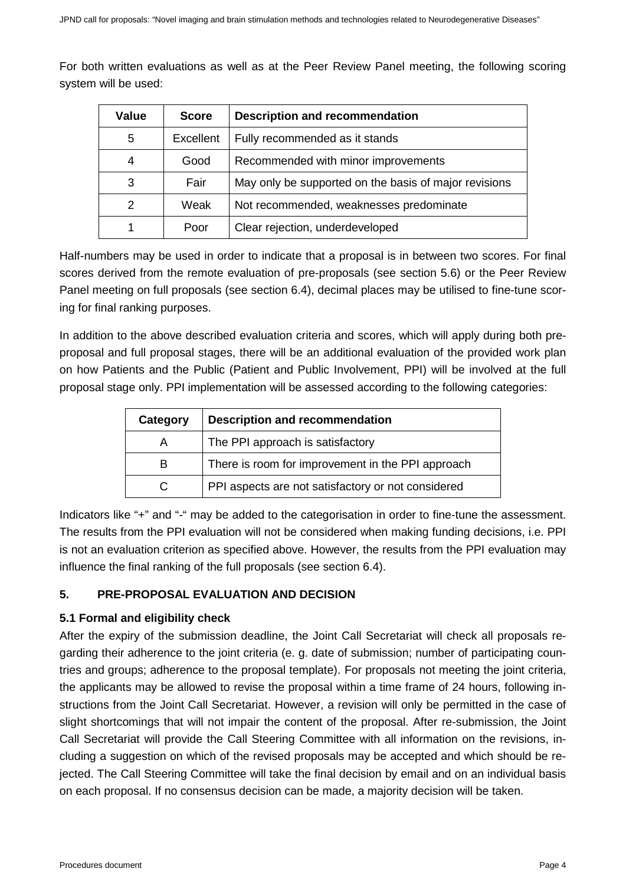For both written evaluations as well as at the Peer Review Panel meeting, the following scoring system will be used:

| Value | <b>Score</b> | <b>Description and recommendation</b>                 |
|-------|--------------|-------------------------------------------------------|
| 5     | Excellent    | Fully recommended as it stands                        |
| 4     | Good         | Recommended with minor improvements                   |
| 3     | Fair         | May only be supported on the basis of major revisions |
| 2     | Weak         | Not recommended, weaknesses predominate               |
|       | Poor         | Clear rejection, underdeveloped                       |

Half-numbers may be used in order to indicate that a proposal is in between two scores. For final scores derived from the remote evaluation of pre-proposals (see section 5.6) or the Peer Review Panel meeting on full proposals (see section 6.4), decimal places may be utilised to fine-tune scoring for final ranking purposes.

In addition to the above described evaluation criteria and scores, which will apply during both preproposal and full proposal stages, there will be an additional evaluation of the provided work plan on how Patients and the Public (Patient and Public Involvement, PPI) will be involved at the full proposal stage only. PPI implementation will be assessed according to the following categories:

| Category | <b>Description and recommendation</b>              |
|----------|----------------------------------------------------|
|          | The PPI approach is satisfactory                   |
| В        | There is room for improvement in the PPI approach  |
|          | PPI aspects are not satisfactory or not considered |

Indicators like "+" and "-" may be added to the categorisation in order to fine-tune the assessment. The results from the PPI evaluation will not be considered when making funding decisions, i.e. PPI is not an evaluation criterion as specified above. However, the results from the PPI evaluation may influence the final ranking of the full proposals (see section 6.4).

# <span id="page-3-0"></span>**5. PRE-PROPOSAL EVALUATION AND DECISION**

# **5.1 Formal and eligibility check**

After the expiry of the submission deadline, the Joint Call Secretariat will check all proposals regarding their adherence to the joint criteria (e. g. date of submission; number of participating countries and groups; adherence to the proposal template). For proposals not meeting the joint criteria, the applicants may be allowed to revise the proposal within a time frame of 24 hours, following instructions from the Joint Call Secretariat. However, a revision will only be permitted in the case of slight shortcomings that will not impair the content of the proposal. After re-submission, the Joint Call Secretariat will provide the Call Steering Committee with all information on the revisions, including a suggestion on which of the revised proposals may be accepted and which should be rejected. The Call Steering Committee will take the final decision by email and on an individual basis on each proposal. If no consensus decision can be made, a majority decision will be taken.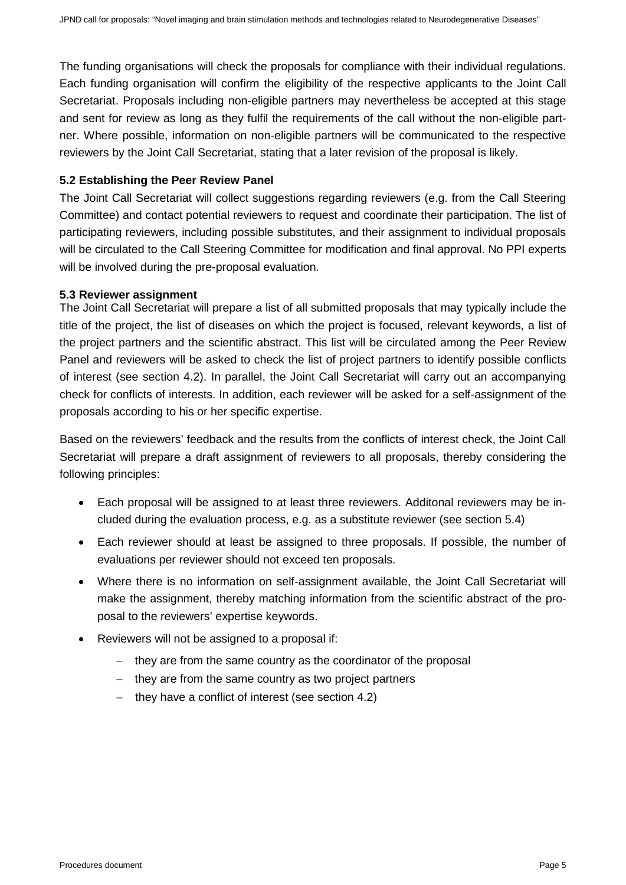The funding organisations will check the proposals for compliance with their individual regulations. Each funding organisation will confirm the eligibility of the respective applicants to the Joint Call Secretariat. Proposals including non-eligible partners may nevertheless be accepted at this stage and sent for review as long as they fulfil the requirements of the call without the non-eligible partner. Where possible, information on non-eligible partners will be communicated to the respective reviewers by the Joint Call Secretariat, stating that a later revision of the proposal is likely.

#### **5.2 Establishing the Peer Review Panel**

The Joint Call Secretariat will collect suggestions regarding reviewers (e.g. from the Call Steering Committee) and contact potential reviewers to request and coordinate their participation. The list of participating reviewers, including possible substitutes, and their assignment to individual proposals will be circulated to the Call Steering Committee for modification and final approval. No PPI experts will be involved during the pre-proposal evaluation.

#### **5.3 Reviewer assignment**

The Joint Call Secretariat will prepare a list of all submitted proposals that may typically include the title of the project, the list of diseases on which the project is focused, relevant keywords, a list of the project partners and the scientific abstract. This list will be circulated among the Peer Review Panel and reviewers will be asked to check the list of project partners to identify possible conflicts of interest (see section 4.2). In parallel, the Joint Call Secretariat will carry out an accompanying check for conflicts of interests. In addition, each reviewer will be asked for a self-assignment of the proposals according to his or her specific expertise.

Based on the reviewers' feedback and the results from the conflicts of interest check, the Joint Call Secretariat will prepare a draft assignment of reviewers to all proposals, thereby considering the following principles:

- Each proposal will be assigned to at least three reviewers. Additonal reviewers may be included during the evaluation process, e.g. as a substitute reviewer (see section 5.4)
- Each reviewer should at least be assigned to three proposals. If possible, the number of evaluations per reviewer should not exceed ten proposals.
- Where there is no information on self-assignment available, the Joint Call Secretariat will make the assignment, thereby matching information from the scientific abstract of the proposal to the reviewers' expertise keywords.
- Reviewers will not be assigned to a proposal if:
	- − they are from the same country as the coordinator of the proposal
	- − they are from the same country as two project partners
	- − they have a conflict of interest (see section 4.2)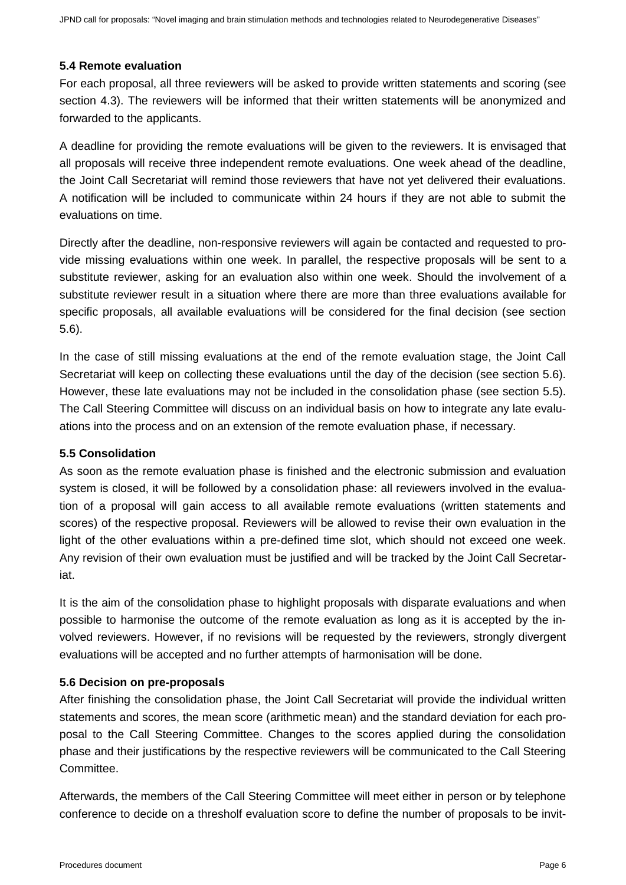#### **5.4 Remote evaluation**

For each proposal, all three reviewers will be asked to provide written statements and scoring (see section 4.3). The reviewers will be informed that their written statements will be anonymized and forwarded to the applicants.

A deadline for providing the remote evaluations will be given to the reviewers. It is envisaged that all proposals will receive three independent remote evaluations. One week ahead of the deadline, the Joint Call Secretariat will remind those reviewers that have not yet delivered their evaluations. A notification will be included to communicate within 24 hours if they are not able to submit the evaluations on time.

Directly after the deadline, non-responsive reviewers will again be contacted and requested to provide missing evaluations within one week. In parallel, the respective proposals will be sent to a substitute reviewer, asking for an evaluation also within one week. Should the involvement of a substitute reviewer result in a situation where there are more than three evaluations available for specific proposals, all available evaluations will be considered for the final decision (see section 5.6).

In the case of still missing evaluations at the end of the remote evaluation stage, the Joint Call Secretariat will keep on collecting these evaluations until the day of the decision (see section 5.6). However, these late evaluations may not be included in the consolidation phase (see section 5.5). The Call Steering Committee will discuss on an individual basis on how to integrate any late evaluations into the process and on an extension of the remote evaluation phase, if necessary.

#### **5.5 Consolidation**

As soon as the remote evaluation phase is finished and the electronic submission and evaluation system is closed, it will be followed by a consolidation phase: all reviewers involved in the evaluation of a proposal will gain access to all available remote evaluations (written statements and scores) of the respective proposal. Reviewers will be allowed to revise their own evaluation in the light of the other evaluations within a pre-defined time slot, which should not exceed one week. Any revision of their own evaluation must be justified and will be tracked by the Joint Call Secretariat.

It is the aim of the consolidation phase to highlight proposals with disparate evaluations and when possible to harmonise the outcome of the remote evaluation as long as it is accepted by the involved reviewers. However, if no revisions will be requested by the reviewers, strongly divergent evaluations will be accepted and no further attempts of harmonisation will be done.

#### **5.6 Decision on pre-proposals**

After finishing the consolidation phase, the Joint Call Secretariat will provide the individual written statements and scores, the mean score (arithmetic mean) and the standard deviation for each proposal to the Call Steering Committee. Changes to the scores applied during the consolidation phase and their justifications by the respective reviewers will be communicated to the Call Steering Committee.

Afterwards, the members of the Call Steering Committee will meet either in person or by telephone conference to decide on a thresholf evaluation score to define the number of proposals to be invit-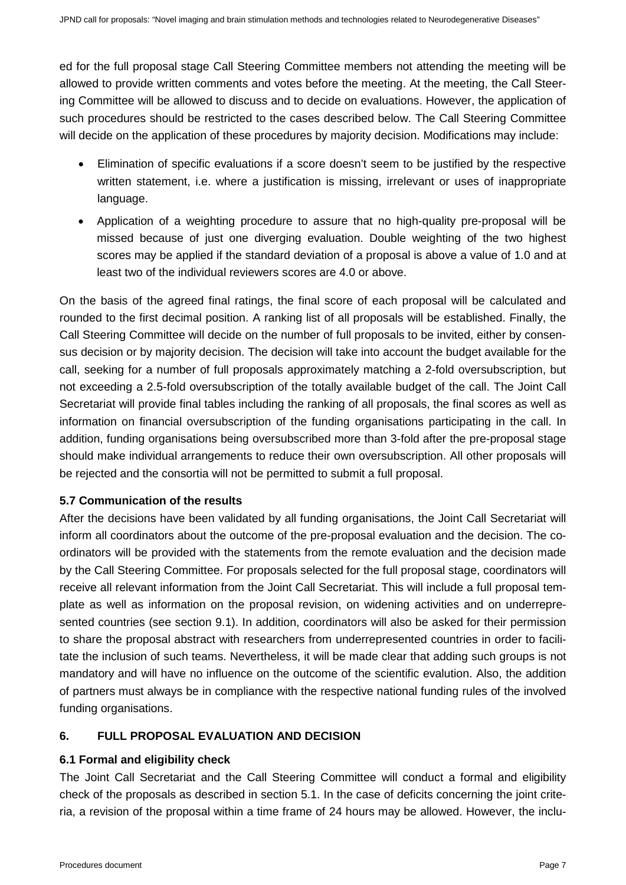ed for the full proposal stage Call Steering Committee members not attending the meeting will be allowed to provide written comments and votes before the meeting. At the meeting, the Call Steering Committee will be allowed to discuss and to decide on evaluations. However, the application of such procedures should be restricted to the cases described below. The Call Steering Committee will decide on the application of these procedures by majority decision. Modifications may include:

- Elimination of specific evaluations if a score doesn't seem to be justified by the respective written statement, i.e. where a justification is missing, irrelevant or uses of inappropriate language.
- Application of a weighting procedure to assure that no high-quality pre-proposal will be missed because of just one diverging evaluation. Double weighting of the two highest scores may be applied if the standard deviation of a proposal is above a value of 1.0 and at least two of the individual reviewers scores are 4.0 or above.

On the basis of the agreed final ratings, the final score of each proposal will be calculated and rounded to the first decimal position. A ranking list of all proposals will be established. Finally, the Call Steering Committee will decide on the number of full proposals to be invited, either by consensus decision or by majority decision. The decision will take into account the budget available for the call, seeking for a number of full proposals approximately matching a 2-fold oversubscription, but not exceeding a 2.5-fold oversubscription of the totally available budget of the call. The Joint Call Secretariat will provide final tables including the ranking of all proposals, the final scores as well as information on financial oversubscription of the funding organisations participating in the call. In addition, funding organisations being oversubscribed more than 3-fold after the pre-proposal stage should make individual arrangements to reduce their own oversubscription. All other proposals will be rejected and the consortia will not be permitted to submit a full proposal.

# **5.7 Communication of the results**

After the decisions have been validated by all funding organisations, the Joint Call Secretariat will inform all coordinators about the outcome of the pre-proposal evaluation and the decision. The coordinators will be provided with the statements from the remote evaluation and the decision made by the Call Steering Committee. For proposals selected for the full proposal stage, coordinators will receive all relevant information from the Joint Call Secretariat. This will include a full proposal template as well as information on the proposal revision, on widening activities and on underrepresented countries (see section 9.1). In addition, coordinators will also be asked for their permission to share the proposal abstract with researchers from underrepresented countries in order to facilitate the inclusion of such teams. Nevertheless, it will be made clear that adding such groups is not mandatory and will have no influence on the outcome of the scientific evalution. Also, the addition of partners must always be in compliance with the respective national funding rules of the involved funding organisations.

# <span id="page-6-0"></span>**6. FULL PROPOSAL EVALUATION AND DECISION**

# **6.1 Formal and eligibility check**

The Joint Call Secretariat and the Call Steering Committee will conduct a formal and eligibility check of the proposals as described in section 5.1. In the case of deficits concerning the joint criteria, a revision of the proposal within a time frame of 24 hours may be allowed. However, the inclu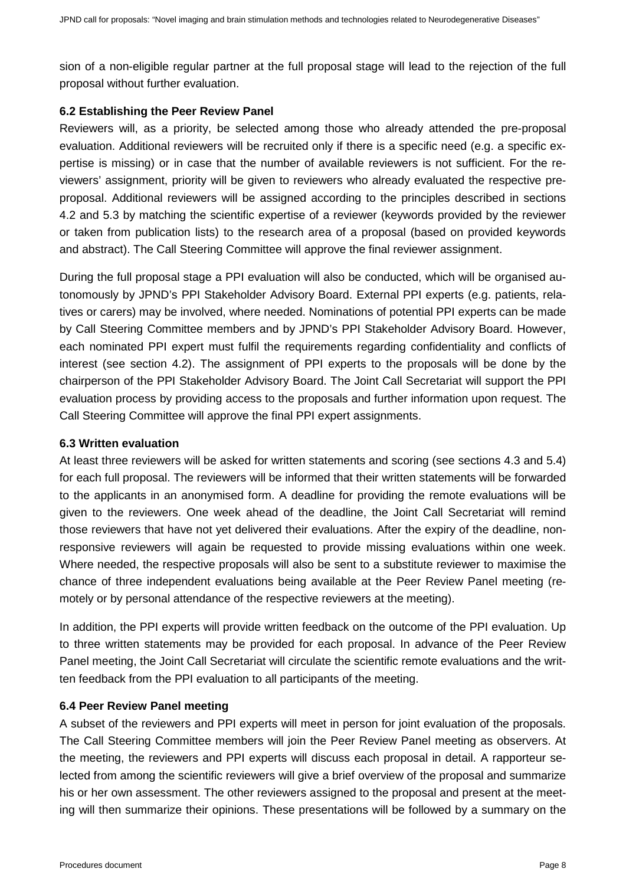sion of a non-eligible regular partner at the full proposal stage will lead to the rejection of the full proposal without further evaluation.

#### **6.2 Establishing the Peer Review Panel**

Reviewers will, as a priority, be selected among those who already attended the pre-proposal evaluation. Additional reviewers will be recruited only if there is a specific need (e.g. a specific expertise is missing) or in case that the number of available reviewers is not sufficient. For the reviewers' assignment, priority will be given to reviewers who already evaluated the respective preproposal. Additional reviewers will be assigned according to the principles described in sections 4.2 and 5.3 by matching the scientific expertise of a reviewer (keywords provided by the reviewer or taken from publication lists) to the research area of a proposal (based on provided keywords and abstract). The Call Steering Committee will approve the final reviewer assignment.

During the full proposal stage a PPI evaluation will also be conducted, which will be organised autonomously by JPND's [PPI Stakeholder Advisory Board.](https://www.neurodegenerationresearch.eu/initiatives/jpnd-alignment-actions/patient-public-involvement/ppi-stakeholder-advisory-board/) External PPI experts (e.g. patients, relatives or carers) may be involved, where needed. Nominations of potential PPI experts can be made by Call Steering Committee members and by JPND's [PPI Stakeholder Advisory Board.](https://www.neurodegenerationresearch.eu/initiatives/jpnd-alignment-actions/patient-public-involvement/ppi-stakeholder-advisory-board/) However, each nominated PPI expert must fulfil the requirements regarding confidentiality and conflicts of interest (see section 4.2). The assignment of PPI experts to the proposals will be done by the chairperson of the PPI Stakeholder Advisory Board. The Joint Call Secretariat will support the PPI evaluation process by providing access to the proposals and further information upon request. The Call Steering Committee will approve the final PPI expert assignments.

#### **6.3 Written evaluation**

At least three reviewers will be asked for written statements and scoring (see sections 4.3 and 5.4) for each full proposal. The reviewers will be informed that their written statements will be forwarded to the applicants in an anonymised form. A deadline for providing the remote evaluations will be given to the reviewers. One week ahead of the deadline, the Joint Call Secretariat will remind those reviewers that have not yet delivered their evaluations. After the expiry of the deadline, nonresponsive reviewers will again be requested to provide missing evaluations within one week. Where needed, the respective proposals will also be sent to a substitute reviewer to maximise the chance of three independent evaluations being available at the Peer Review Panel meeting (remotely or by personal attendance of the respective reviewers at the meeting).

In addition, the PPI experts will provide written feedback on the outcome of the PPI evaluation. Up to three written statements may be provided for each proposal. In advance of the Peer Review Panel meeting, the Joint Call Secretariat will circulate the scientific remote evaluations and the written feedback from the PPI evaluation to all participants of the meeting.

#### **6.4 Peer Review Panel meeting**

A subset of the reviewers and PPI experts will meet in person for joint evaluation of the proposals. The Call Steering Committee members will join the Peer Review Panel meeting as observers. At the meeting, the reviewers and PPI experts will discuss each proposal in detail. A rapporteur selected from among the scientific reviewers will give a brief overview of the proposal and summarize his or her own assessment. The other reviewers assigned to the proposal and present at the meeting will then summarize their opinions. These presentations will be followed by a summary on the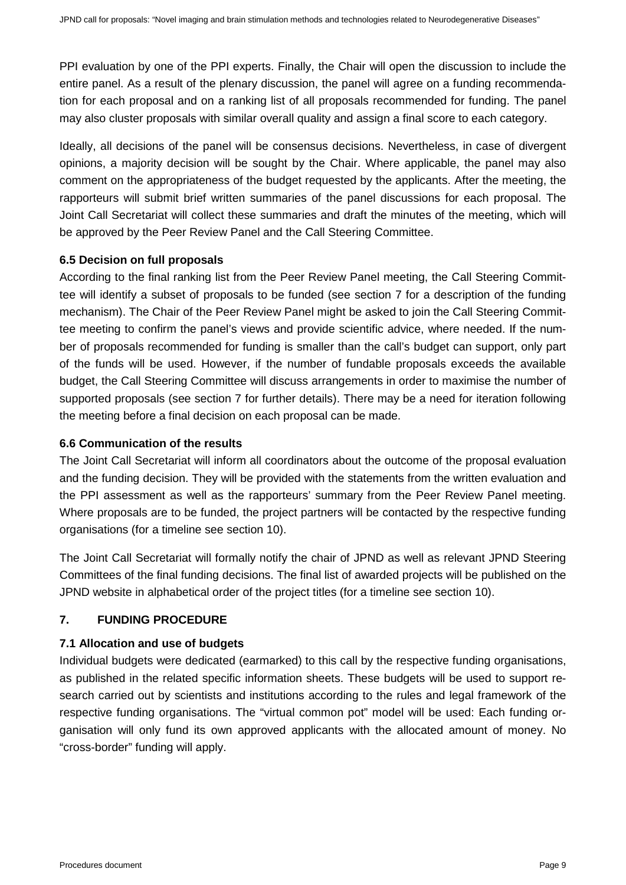PPI evaluation by one of the PPI experts. Finally, the Chair will open the discussion to include the entire panel. As a result of the plenary discussion, the panel will agree on a funding recommendation for each proposal and on a ranking list of all proposals recommended for funding. The panel may also cluster proposals with similar overall quality and assign a final score to each category.

Ideally, all decisions of the panel will be consensus decisions. Nevertheless, in case of divergent opinions, a majority decision will be sought by the Chair. Where applicable, the panel may also comment on the appropriateness of the budget requested by the applicants. After the meeting, the rapporteurs will submit brief written summaries of the panel discussions for each proposal. The Joint Call Secretariat will collect these summaries and draft the minutes of the meeting, which will be approved by the Peer Review Panel and the Call Steering Committee.

#### **6.5 Decision on full proposals**

According to the final ranking list from the Peer Review Panel meeting, the Call Steering Committee will identify a subset of proposals to be funded (see section 7 for a description of the funding mechanism). The Chair of the Peer Review Panel might be asked to join the Call Steering Committee meeting to confirm the panel's views and provide scientific advice, where needed. If the number of proposals recommended for funding is smaller than the call's budget can support, only part of the funds will be used. However, if the number of fundable proposals exceeds the available budget, the Call Steering Committee will discuss arrangements in order to maximise the number of supported proposals (see section 7 for further details). There may be a need for iteration following the meeting before a final decision on each proposal can be made.

#### **6.6 Communication of the results**

The Joint Call Secretariat will inform all coordinators about the outcome of the proposal evaluation and the funding decision. They will be provided with the statements from the written evaluation and the PPI assessment as well as the rapporteurs' summary from the Peer Review Panel meeting. Where proposals are to be funded, the project partners will be contacted by the respective funding organisations (for a timeline see section 10).

The Joint Call Secretariat will formally notify the chair of JPND as well as relevant JPND Steering Committees of the final funding decisions. The final list of awarded projects will be published on the JPND website in alphabetical order of the project titles (for a timeline see section 10).

# <span id="page-8-0"></span>**7. FUNDING PROCEDURE**

# **7.1 Allocation and use of budgets**

Individual budgets were dedicated (earmarked) to this call by the respective funding organisations, as published in the related specific information sheets. These budgets will be used to support research carried out by scientists and institutions according to the rules and legal framework of the respective funding organisations. The "virtual common pot" model will be used: Each funding organisation will only fund its own approved applicants with the allocated amount of money. No "cross-border" funding will apply.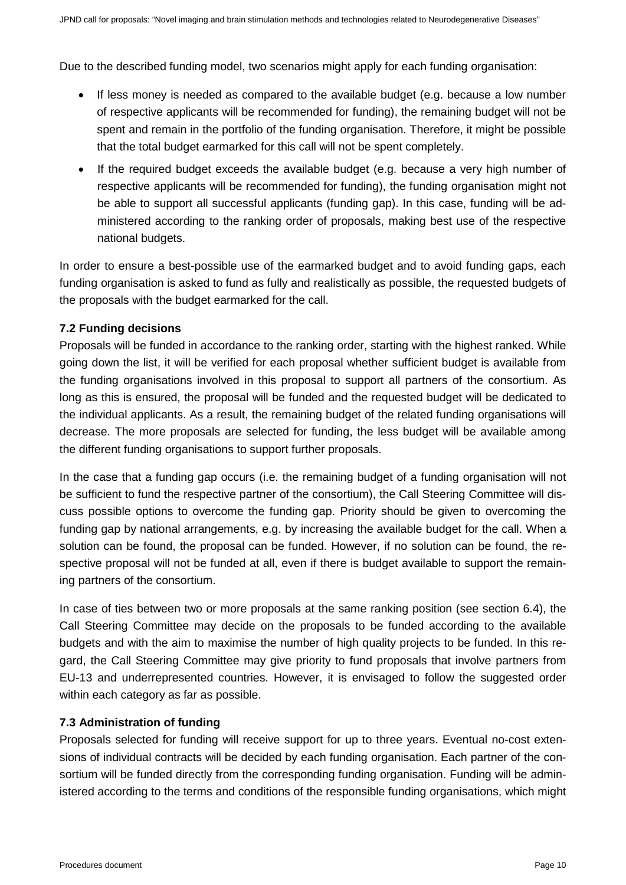Due to the described funding model, two scenarios might apply for each funding organisation:

- If less money is needed as compared to the available budget (e.g. because a low number of respective applicants will be recommended for funding), the remaining budget will not be spent and remain in the portfolio of the funding organisation. Therefore, it might be possible that the total budget earmarked for this call will not be spent completely.
- If the required budget exceeds the available budget (e.g. because a very high number of respective applicants will be recommended for funding), the funding organisation might not be able to support all successful applicants (funding gap). In this case, funding will be administered according to the ranking order of proposals, making best use of the respective national budgets.

In order to ensure a best-possible use of the earmarked budget and to avoid funding gaps, each funding organisation is asked to fund as fully and realistically as possible, the requested budgets of the proposals with the budget earmarked for the call.

# **7.2 Funding decisions**

Proposals will be funded in accordance to the ranking order, starting with the highest ranked. While going down the list, it will be verified for each proposal whether sufficient budget is available from the funding organisations involved in this proposal to support all partners of the consortium. As long as this is ensured, the proposal will be funded and the requested budget will be dedicated to the individual applicants. As a result, the remaining budget of the related funding organisations will decrease. The more proposals are selected for funding, the less budget will be available among the different funding organisations to support further proposals.

In the case that a funding gap occurs (i.e. the remaining budget of a funding organisation will not be sufficient to fund the respective partner of the consortium), the Call Steering Committee will discuss possible options to overcome the funding gap. Priority should be given to overcoming the funding gap by national arrangements, e.g. by increasing the available budget for the call. When a solution can be found, the proposal can be funded. However, if no solution can be found, the respective proposal will not be funded at all, even if there is budget available to support the remaining partners of the consortium.

In case of ties between two or more proposals at the same ranking position (see section 6.4), the Call Steering Committee may decide on the proposals to be funded according to the available budgets and with the aim to maximise the number of high quality projects to be funded. In this regard, the Call Steering Committee may give priority to fund proposals that involve partners from EU-13 and underrepresented countries. However, it is envisaged to follow the suggested order within each category as far as possible.

# **7.3 Administration of funding**

Proposals selected for funding will receive support for up to three years. Eventual no-cost extensions of individual contracts will be decided by each funding organisation. Each partner of the consortium will be funded directly from the corresponding funding organisation. Funding will be administered according to the terms and conditions of the responsible funding organisations, which might